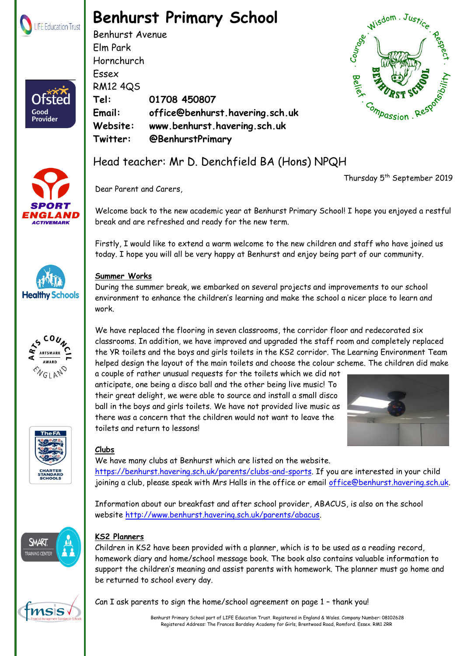

# **Benhurst Primary School**

Benhurst Avenue Elm Park Hornchurch Essex RM12 4QS **Tel: 01708 450807 Email: office@benhurst.havering.sch.uk Website: www.benhurst.havering.sch.uk Twitter: @BenhurstPrimary**



Thursday 5<sup>th</sup> September 2019



Good Provider











We have many clubs at Benhurst which are listed on the website. [https://benhurst.havering.sch.uk/parents/clubs-and-sports.](https://benhurst.havering.sch.uk/parents/clubs-and-sports) If you are interested in your child

joining a club, please speak with Mrs Halls in the office or email [office@benhurst.havering.sch.uk.](mailto:office@benhurst.havering.sch.uk)

Information about our breakfast and after school provider, ABACUS, is also on the school website [http://www.benhurst.havering.sch.uk/parents/abacus.](http://www.benhurst.havering.sch.uk/parents/abacus)



## **KS2 Planners**

Children in KS2 have been provided with a planner, which is to be used as a reading record, homework diary and home/school message book. The book also contains valuable information to support the children's meaning and assist parents with homework. The planner must go home and be returned to school every day.



Can I ask parents to sign the home/school agreement on page 1 – thank you!

 Benhurst Primary School part of LIFE Education Trust. Registered in England & Wales. Company Number: 08102628 Registered Address: The Frances Bardsley Academy for Girls, Brentwood Road, Romford. Essex. RM1 2RR

Head teacher: Mr D. Denchfield BA (Hons) NPQH

Dear Parent and Carers,

Welcome back to the new academic year at Benhurst Primary School! I hope you enjoyed a restful break and are refreshed and ready for the new term.

Firstly, I would like to extend a warm welcome to the new children and staff who have joined us today. I hope you will all be very happy at Benhurst and enjoy being part of our community.

## **Summer Works**

During the summer break, we embarked on several projects and improvements to our school environment to enhance the children's learning and make the school a nicer place to learn and work.

We have replaced the flooring in seven classrooms, the corridor floor and redecorated six classrooms. In addition, we have improved and upgraded the staff room and completely replaced the YR toilets and the boys and girls toilets in the KS2 corridor. The Learning Environment Team helped design the layout of the main toilets and choose the colour scheme. The children did make

a couple of rather unusual requests for the toilets which we did not anticipate, one being a disco ball and the other being live music! To their great delight, we were able to source and install a small disco ball in the boys and girls toilets. We have not provided live music as there was a concern that the children would not want to leave the toilets and return to lessons!

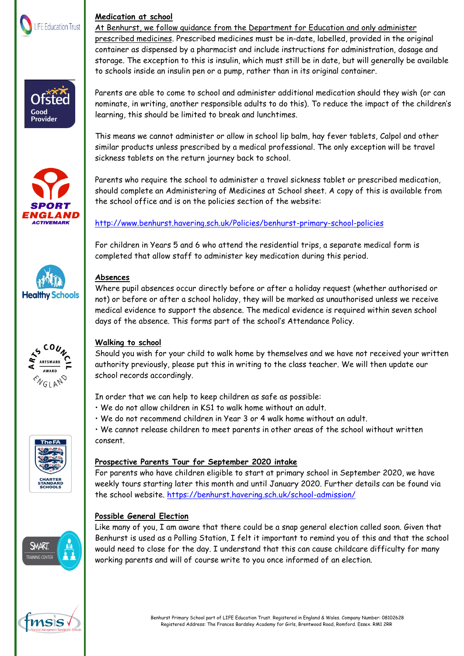

#### **Medication at school**

At Benhurst, we follow guidance from the Department for Education and only administer prescribed medicines. Prescribed medicines must be in-date, labelled, provided in the original container as dispensed by a pharmacist and include instructions for administration, dosage and storage. The exception to this is insulin, which must still be in date, but will generally be available to schools inside an insulin pen or a pump, rather than in its original container.





Parents are able to come to school and administer additional medication should they wish (or can nominate, in writing, another responsible adults to do this). To reduce the impact of the children's learning, this should be limited to break and lunchtimes.

This means we cannot administer or allow in school lip balm, hay fever tablets, Calpol and other similar products unless prescribed by a medical professional. The only exception will be travel sickness tablets on the return journey back to school.

Parents who require the school to administer a travel sickness tablet or prescribed medication, should complete an Administering of Medicines at School sheet. A copy of this is available from the school office and is on the policies section of the website:

<http://www.benhurst.havering.sch.uk/Policies/benhurst-primary-school-policies>

For children in Years 5 and 6 who attend the residential trips, a separate medical form is completed that allow staff to administer key medication during this period.

### **Absences**

Where pupil absences occur directly before or after a holiday request (whether authorised or not) or before or after a school holiday, they will be marked as unauthorised unless we receive medical evidence to support the absence. The medical evidence is required within seven school days of the absence. This forms part of the school's Attendance Policy.



**Healthy Schools** 

#### **Walking to school**

Should you wish for your child to walk home by themselves and we have not received your written authority previously, please put this in writing to the class teacher. We will then update our school records accordingly.

In order that we can help to keep children as safe as possible:

- We do not allow children in KS1 to walk home without an adult.
- We do not recommend children in Year 3 or 4 walk home without an adult.

• We cannot release children to meet parents in other areas of the school without written consent.

## **Prospective Parents Tour for September 2020 intake**

For parents who have children eligible to start at primary school in September 2020, we have weekly tours starting later this month and until January 2020. Further details can be found via the school website.<https://benhurst.havering.sch.uk/school-admission/>

#### **Possible General Election**

Like many of you, I am aware that there could be a snap general election called soon. Given that Benhurst is used as a Polling Station, I felt it important to remind you of this and that the school would need to close for the day. I understand that this can cause childcare difficulty for many working parents and will of course write to you once informed of an election.